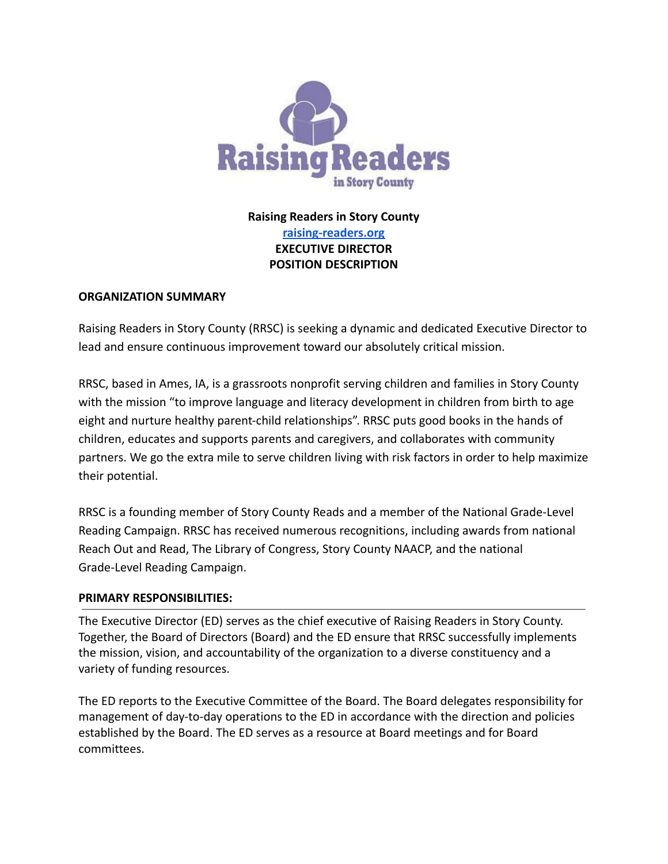

**Raising Readers in Story County [raising-readers.org](https://www.raisingreaders.org/) EXECUTIVE DIRECTOR POSITION DESCRIPTION**

## **ORGANIZATION SUMMARY**

Raising Readers in Story County (RRSC) is seeking a dynamic and dedicated Executive Director to lead and ensure continuous improvement toward our absolutely critical mission.

RRSC, based in Ames, IA, is a grassroots nonprofit serving children and families in Story County with the mission "to improve language and literacy development in children from birth to age eight and nurture healthy parent-child relationships". RRSC puts good books in the hands of children, educates and supports parents and caregivers, and collaborates with community partners. We go the extra mile to serve children living with risk factors in order to help maximize their potential.

RRSC is a founding member of Story County Reads and a member of the National Grade-Level Reading Campaign. RRSC has received numerous recognitions, including awards from national Reach Out and Read, The Library of Congress, Story County NAACP, and the national Grade-Level Reading Campaign.

## **PRIMARY RESPONSIBILITIES:**

The Executive Director (ED) serves as the chief executive of Raising Readers in Story County. Together, the Board of Directors (Board) and the ED ensure that RRSC successfully implements the mission, vision, and accountability of the organization to a diverse constituency and a variety of funding resources.

The ED reports to the Executive Committee of the Board. The Board delegates responsibility for management of day-to-day operations to the ED in accordance with the direction and policies established by the Board. The ED serves as a resource at Board meetings and for Board committees.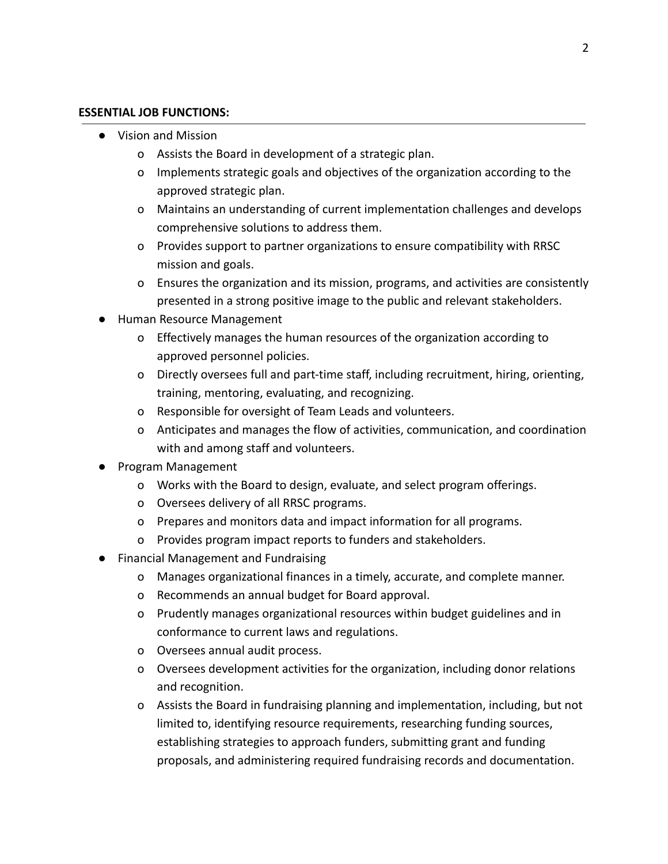#### **ESSENTIAL JOB FUNCTIONS:**

- Vision and Mission
	- o Assists the Board in development of a strategic plan.
	- o Implements strategic goals and objectives of the organization according to the approved strategic plan.
	- o Maintains an understanding of current implementation challenges and develops comprehensive solutions to address them.
	- o Provides support to partner organizations to ensure compatibility with RRSC mission and goals.
	- o Ensures the organization and its mission, programs, and activities are consistently presented in a strong positive image to the public and relevant stakeholders.
- Human Resource Management
	- o Effectively manages the human resources of the organization according to approved personnel policies.
	- o Directly oversees full and part-time staff, including recruitment, hiring, orienting, training, mentoring, evaluating, and recognizing.
	- o Responsible for oversight of Team Leads and volunteers.
	- o Anticipates and manages the flow of activities, communication, and coordination with and among staff and volunteers.
- Program Management
	- o Works with the Board to design, evaluate, and select program offerings.
	- o Oversees delivery of all RRSC programs.
	- o Prepares and monitors data and impact information for all programs.
	- o Provides program impact reports to funders and stakeholders.
- Financial Management and Fundraising
	- o Manages organizational finances in a timely, accurate, and complete manner.
	- o Recommends an annual budget for Board approval.
	- o Prudently manages organizational resources within budget guidelines and in conformance to current laws and regulations.
	- o Oversees annual audit process.
	- o Oversees development activities for the organization, including donor relations and recognition.
	- o Assists the Board in fundraising planning and implementation, including, but not limited to, identifying resource requirements, researching funding sources, establishing strategies to approach funders, submitting grant and funding proposals, and administering required fundraising records and documentation.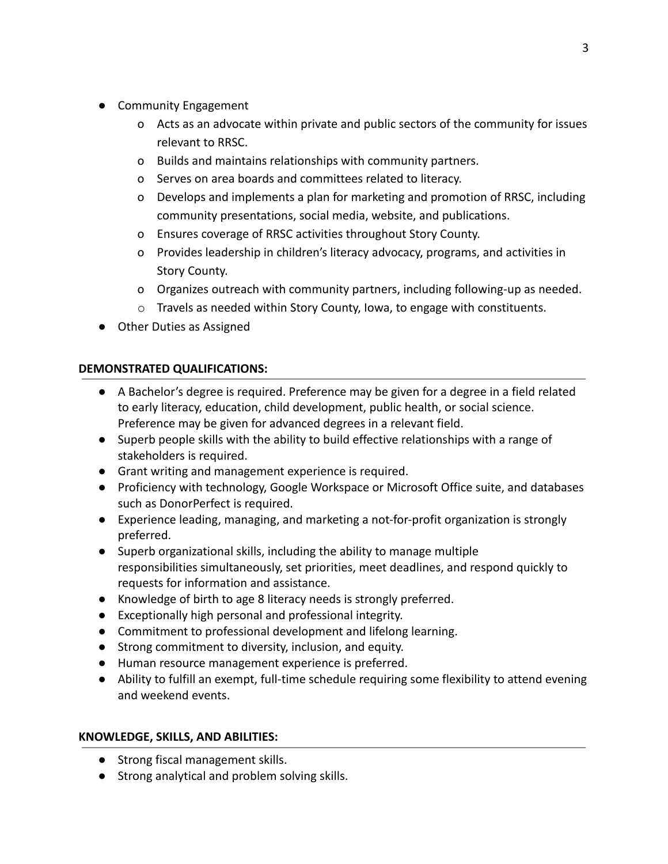- Community Engagement
	- o Acts as an advocate within private and public sectors of the community for issues relevant to RRSC.
	- o Builds and maintains relationships with community partners.
	- o Serves on area boards and committees related to literacy.
	- o Develops and implements a plan for marketing and promotion of RRSC, including community presentations, social media, website, and publications.
	- o Ensures coverage of RRSC activities throughout Story County.
	- o Provides leadership in children's literacy advocacy, programs, and activities in Story County.
	- o Organizes outreach with community partners, including following-up as needed.
	- $\circ$  Travels as needed within Story County, Iowa, to engage with constituents.
- Other Duties as Assigned

# **DEMONSTRATED QUALIFICATIONS:**

- A Bachelor's degree is required. Preference may be given for a degree in a field related to early literacy, education, child development, public health, or social science. Preference may be given for advanced degrees in a relevant field.
- Superb people skills with the ability to build effective relationships with a range of stakeholders is required.
- Grant writing and management experience is required.
- Proficiency with technology, Google Workspace or Microsoft Office suite, and databases such as DonorPerfect is required.
- Experience leading, managing, and marketing a not-for-profit organization is strongly preferred.
- Superb organizational skills, including the ability to manage multiple responsibilities simultaneously, set priorities, meet deadlines, and respond quickly to requests for information and assistance.
- Knowledge of birth to age 8 literacy needs is strongly preferred.
- Exceptionally high personal and professional integrity.
- Commitment to professional development and lifelong learning.
- Strong commitment to diversity, inclusion, and equity.
- Human resource management experience is preferred.
- Ability to fulfill an exempt, full-time schedule requiring some flexibility to attend evening and weekend events.

# **KNOWLEDGE, SKILLS, AND ABILITIES:**

- **●** Strong fiscal management skills.
- Strong analytical and problem solving skills.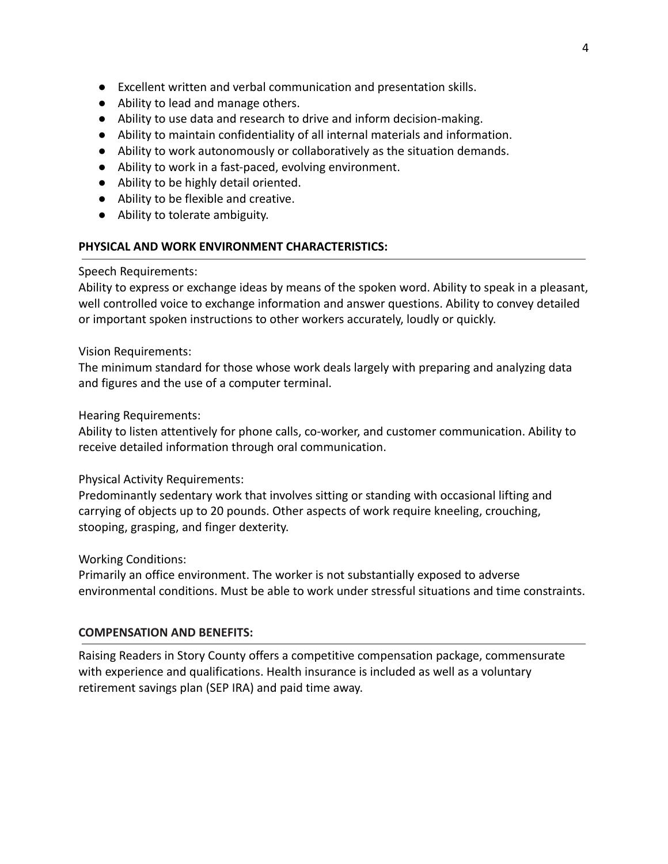- Excellent written and verbal communication and presentation skills.
- Ability to lead and manage others.
- Ability to use data and research to drive and inform decision-making.
- Ability to maintain confidentiality of all internal materials and information.
- Ability to work autonomously or collaboratively as the situation demands.
- Ability to work in a fast-paced, evolving environment.
- Ability to be highly detail oriented.
- Ability to be flexible and creative.
- Ability to tolerate ambiguity.

## **PHYSICAL AND WORK ENVIRONMENT CHARACTERISTICS:**

#### Speech Requirements:

Ability to express or exchange ideas by means of the spoken word. Ability to speak in a pleasant, well controlled voice to exchange information and answer questions. Ability to convey detailed or important spoken instructions to other workers accurately, loudly or quickly.

Vision Requirements:

The minimum standard for those whose work deals largely with preparing and analyzing data and figures and the use of a computer terminal.

Hearing Requirements:

Ability to listen attentively for phone calls, co-worker, and customer communication. Ability to receive detailed information through oral communication.

Physical Activity Requirements:

Predominantly sedentary work that involves sitting or standing with occasional lifting and carrying of objects up to 20 pounds. Other aspects of work require kneeling, crouching, stooping, grasping, and finger dexterity.

Working Conditions:

Primarily an office environment. The worker is not substantially exposed to adverse environmental conditions. Must be able to work under stressful situations and time constraints.

## **COMPENSATION AND BENEFITS:**

Raising Readers in Story County offers a competitive compensation package, commensurate with experience and qualifications. Health insurance is included as well as a voluntary retirement savings plan (SEP IRA) and paid time away.